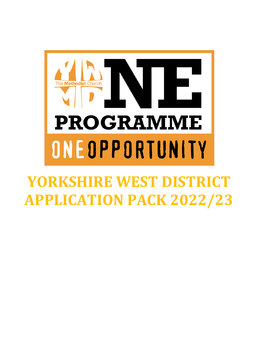

# **YORKSHIRE WEST DISTRICT APPLICATION PACK 2022/23**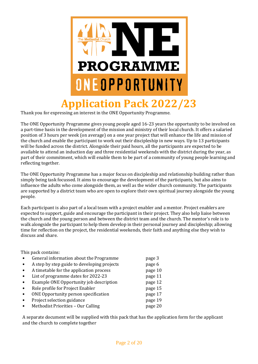

Thank you for expressing an interest in the ONE Opportunity Programme.

The ONE Opportunity Programme gives young people aged 16-23 years the opportunity to be involved on a part-time basis in the development of the mission and ministry of their local church. It offers a salaried position of 3 hours per week (on average) on a one year project that will enhance the life and mission of the church and enable the participant to work out their discipleship in new ways. Up to 13 participants will be funded across the district. Alongside their paid hours, all the participants are expected to be available to attend an induction day and three residential weekends with the district during the year, as part of their commitment, which will enable them to be part of a community of young people learning and reflecting together.

The ONE Opportunity Programme has a major focus on discipleship and relationship building rather than simply being task focussed. It aims to encourage the development of the participants, but also aims to influence the adults who come alongside them, as well as the wider church community. The participants are supported by a district team who are open to explore their own spiritual journey alongside the young people.

Each participant is also part of a local team with a project enabler and a mentor. Project enablers are expected to support, guide and encourage the participant in their project. They also help liaise between the church and the young person and between the district team and the church. The mentor's role is to walk alongside the participant to help them develop in their personal journey and discipleship; allowing time for reflection on the project, the residential weekends, their faith and anything else they wish to discuss and share.

This pack contains:

- General information about the Programme page 3
- A step by step guide to developing projects page 6
- A timetable for the application process page 10
- List of programme dates for 2022-23 page 11
- Example ONE Opportunity job description page 12
- **France Role profile for Project Enabler** page 15
- ONE Opportunity person specification bagge 17
- Project selection guidance page 19
- Methodist Priorities Our Calling page 20

A separate document will be supplied with this pack that has the application form for the applicant and the church to complete together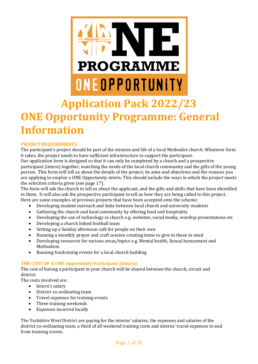

## **Application Pack 2022/23 ONE Opportunity Programme: General Information**

#### **PROJECT REQUIREMENTS**

The participant's project should be part of the mission and life of a local Methodist church. Whatever form it takes, the project needs to have sufficient infrastructure to support the participant.

Our application form is designed so that it can only be completed by a church and a prospective participant (intern) together, matching the needs of the local church community and the gifts of the young person. This form will tell us about the details of the project, its aims and objectives and the reasons you are applying to employ a ONE Opportunity intern. This should include the ways in which the project meets the selection criteria given (see page 17).

The form will ask the church to tell us about the applicant, and the gifts and skills that have been identified in them. It will also ask the prospective participant to tell us how they are being called to this project. Here are some examples of previous projects that have been accepted onto the scheme:

- Developing student outreach and links between local church and university students
- Gathering the church and local community by offering food and hospitality
- Developing the use of technology in church e.g. websites, social media, worship presentations etc
- Developing a church linked football team
- Setting up a Sunday afternoon café for people on their own
- Running a monthly prayer and craft session creating items to give to those in need
- Developing resources for various areas/topics e.g. Mental health, Sexual harassment and Methodism
- Running fundraising events for a local church building

#### **THE COST OF A ONE Opportunity Participant (Intern)**

The cost of having a participant in your church will be shared between the church, circuit and district.

The costs involved are:

- Intern's salary
- District co-ordinating team
- Travel expenses for training events
- Three training weekends
- Expenses incurred locally

The Yorkshire West District are paying for the interns' salaries, the expenses and salaries of the district co-ordinating team, a third of all weekend training costs and interns' travel expenses to and from training events.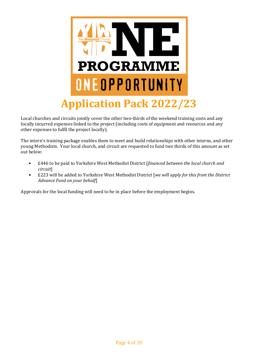

Local churches and circuits jointly cover the other two-thirds of the weekend training costs and any locally incurred expenses linked to the project (including costs of equipment and resources and any other expenses to fulfil the project locally).

The intern's training package enables them to meet and build relationships with other interns, and other young Methodists. Your local church, and circuit are requested to fund two thirds of this amount as set out below:

- £446 to be paid to Yorkshire West Methodist District [*financed between the local church and circuit*]
- £223 will be added to Yorkshire West Methodist District [*we will apply for this from the District Advance Fund on your behalf*]

Approvals for the local funding will need to be in place before the employment begins.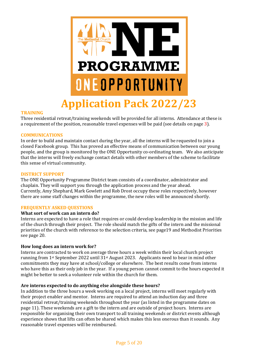

#### **TRAINING**

Three residential retreat/training weekends will be provided for all interns. Attendance at these is a requirement of the position, reasonable travel expenses will be paid (see details on page 3).

#### **COMMUNICATIONS**

In order to build and maintain contact during the year, all the interns will be requested to join a closed Facebook group. This has proved an effective means of communication between our young people, and the group is monitored by the ONE Opportunity co-ordinating team. We also anticipate that the interns will freely exchange contact details with other members of the scheme to facilitate this sense of virtual community.

#### **DISTRICT SUPPORT**

The ONE Opportunity Programme District team consists of a coordinator, administrator and chaplain. They will support you through the application process and the year ahead. Currently, Amy Shephard, Mark Gowlett and Rob Drost occupy these roles respectively, however there are some staff changes within the programme, the new roles will be announced shortly.

#### **FREQUENTLY ASKED QUESTIONS**

#### **What sort of work can an intern do?**

Interns are expected to have a role that requires or could develop leadership in the mission and life of the church through their project. The role should match the gifts of the intern and the missional priorities of the church with reference to the selection criteria, see page19 and Methodist Priorities see page 20.

#### **How long does an intern work for?**

Interns are contracted to work on average three hours a week within their local church project running from 1st September 2022 until 31st August 2023. Applicants need to bear in mind other commitments they may have at school/college or elsewhere. The best results come from interns who have this as their only job in the year. If a young person cannot commit to the hours expected it might be better to seek a volunteer role within the church for them.

#### **Are interns expected to do anything else alongside these hours?**

In addition to the three hours a week working on a local project, interns will meet regularly with their project enabler and mentor. Interns are required to attend an induction day and three residential retreat/training weekends throughout the year (as listed in the programme dates on page 11). These weekends are a gift to the intern and are outside of project hours. Interns are responsible for organising their own transport to all training weekends or district events although experience shows that lifts can often be shared which makes this less onerous than it sounds. Any reasonable travel expenses will be reimbursed.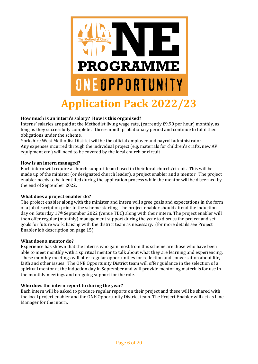

#### **How much is an intern's salary? How is this organised?**

Interns' salaries are paid at the Methodist living wage rate, (currently £9.90 per hour) monthly, as long as they successfully complete a three-month probationary period and continue to fulfil their obligations under the scheme.

Yorkshire West Methodist District will be the official employer and payroll administrator. Any expenses incurred through the individual project (e.g. materials for children's crafts, new AV equipment etc ) will need to be covered by the local church or circuit.

#### **How is an intern managed?**

Each intern will require a church support team based in their local church/circuit. This will be made up of the minister (or designated church leader), a project enabler and a mentor. The project enabler needs to be identified during the application process while the mentor will be discerned by the end of September 2022.

#### **What does a project enabler do?**

The project enabler along with the minister and intern will agree goals and expectations in the form of a job description prior to the scheme starting. The project enabler should attend the induction day on Saturday 17th September 2022 (venue TBC) along with their intern. The project enabler will then offer regular (monthly) management support during the year to discuss the project and set goals for future work, liaising with the district team as necessary. (for more details see Project Enabler job description on page 15)

#### **What does a mentor do?**

Experience has shown that the interns who gain most from this scheme are those who have been able to meet monthly with a spiritual mentor to talk about what they are learning and experiencing. These monthly meetings will offer regular opportunities for reflection and conversation about life, faith and other issues. The ONE Opportunity District team will offer guidance in the selection of a spiritual mentor at the induction day in September and will provide mentoring materials for use in the monthly meetings and on-going support for the role.

#### **Who does the intern report to during the year?**

Each intern will be asked to produce regular reports on their project and these will be shared with the local project enabler and the ONE Opportunity District team. The Project Enabler will act as Line Manager for the intern.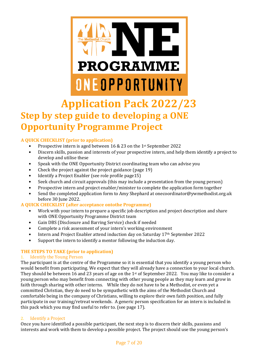

### **Application Pack 2022/23 Step by step guide to developing a ONE Opportunity Programme Project**

#### **A QUICK CHECKLIST (prior to application)**

- Prospective intern is aged between 16 & 23 on the 1st September 2022
- Discern skills, passion and interests of your prospective intern, and help them identify a project to develop and utilise these
- Speak with the ONE Opportunity District coordinating team who can advise you
- Check the project against the project guidance (page 19)
- Identify a Project Enabler (see role profile page15)
- Seek church and circuit approvals (this may include a presentation from the young person)
- Prospective intern and project enabler/minister to complete the application form together
- Send the completed application form to Amy Shephard at onecoordinator@ywmethodist.org.uk before 30 June 2022.

#### **A QUICK CHECKLIST (after acceptance ontothe Programme)**

- Work with your intern to prepare a specific job description and project description and share with ONE Opportunity Programme District team
- Gain DBS (Disclosure and Barring Service) check if needed
- Complete a risk assessment of your intern's working environment
- Intern and Project Enabler attend induction day on Saturday 17<sup>th</sup> September 2022
- Support the intern to identify a mentor following the induction day.

#### **THE STEPS TO TAKE (prior to application)**

#### Identify the Young Person

The participant is at the centre of the Programme so it is essential that you identify a young person who would benefit from participating. We expect that they will already have a connection to your local church. They should be between 16 and 23 years of age on the 1st of September 2022. You may like to consider a young person who may benefit from connecting with other young people as they may learn and grow in faith through sharing with other interns. While they do not have to be a Methodist, or even yet a committed Christian, they do need to be sympathetic with the aims of the Methodist Church and comfortable being in the company of Christians, willing to explore their own faith position, and fully participate in our training/retreat weekends. A generic person specification for an intern is included in this pack which you may find useful to refer to. (see page 17).

#### 2. Identify a Project

Once you have identified a possible participant, the next step is to discern their skills, passions and interests and work with them to develop a possible project. The project should use the young person's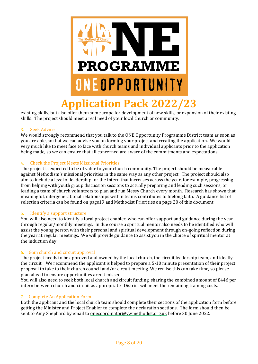

existing skills, but also offer them some scope for development of new skills, or expansion of their existing skills. The project should meet a real need of your local church or community.

#### 3. Seek Advice

We would strongly recommend that you talk to the ONE Opportunity Programme District team as soon as you are able, so that we can advise you on forming your project and creating the application. We would very much like to meet face to face with church teams and individual applicants prior to the application being made, so we can ensure that all concerned are aware of the commitments and expectations.

#### 4. Check the Project Meets Missional Priorities

The project is expected to be of value to your church community. The project should be measurable against Methodism's missional priorities in the same way as any other project. The project should also aim to include a level of leadership for the intern that increases across the year, for example, progressing from helping with youth group discussion sessions to actually preparing and leading such sessions, or leading a team of church volunteers to plan and run Messy Church every month. Research has shown that meaningful, intergenerational relationships within teams contributes to lifelong faith. A guidance list of selection criteria can be found on page19 and Methodist Priorities on page 20 of this document.

#### 5. Identify a support structure

You will also need to identify a local project enabler, who can offer support and guidance during the year through regular/monthly meetings. In due course a spiritual mentor also needs to be identified who will assist the young person with their personal and spiritual development through on-going reflection during the year at regular meetings. We will provide guidance to assist you in the choice of spiritual mentor at the induction day.

#### 6. Gain church and circuit approval

The project needs to be approved and owned by the local church, the circuit leadership team, and ideally the circuit. We recommend the applicant is helped to prepare a 5-10 minute presentation of their project proposal to take to their church council and/or circuit meeting. We realise this can take time, so please plan ahead to ensure opportunities aren't missed.

You will also need to seek both local church and circuit funding, sharing the combined amount of £446 per intern between church and circuit as appropriate. District will meet the remaining training costs.

#### 7. Complete An Application Form

Both the applicant and the local church team should complete their sections of the application form before getting the Minister and Project Enabler to complete the declaration sections. The form should then be sent to Amy Shephard by email t[o onecoordinator@ywmethodist.org.uk](mailto:onecoordinator@ywmethodist.org.uk) before 30 June 2022.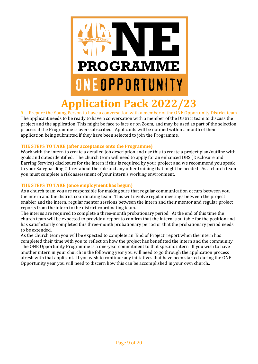

8. Prepare the Young Person to have a conversation with a member of the ONE Opportunity District team The applicant needs to be ready to have a conversation with a member of the District team to discuss the project and the application. This might be face to face or on Zoom, and may be used as part of the selection process if the Programme is over-subscribed. Applicants will be notified within a month of their application being submitted if they have been selected to join the Programme.

#### **THE STEPS TO TAKE (after acceptance onto the Programme)**

Work with the intern to create a detailed job description and use this to create a project plan/outline with goals and dates identified. The church team will need to apply for an enhanced DBS (Disclosure and Barring Service) disclosure for the intern if this is required by your project and we recommend you speak to your Safeguarding Officer about the role and any other training that might be needed. As a church team you must complete a risk assessment of your intern's working environment.

#### **THE STEPS TO TAKE (once employment has begun)**

As a church team you are responsible for making sure that regular communication occurs between you, the intern and the district coordinating team. This will involve regular meetings between the project enabler and the intern, regular mentor sessions between the intern and their mentor and regular project reports from the intern to the district coordinating team.

The interns are required to complete a three-month probationary period. At the end of this time the church team will be expected to provide a report to confirm that the intern is suitable for the position and has satisfactorily completed this three-month probationary period or that the probationary period needs to be extended.

As the church team you will be expected to complete an 'End of Project' report when the intern has completed their time with you to reflect on how the project has benefitted the intern and the community. The ONE Opportunity Programme is a one-year commitment to that specific intern. If you wish to have another intern in your church in the following year you will need to go through the application process afresh with that applicant. If you wish to continue any initiatives that have been started during the ONE Opportunity year you will need to discern how this can be accomplished in your own church,.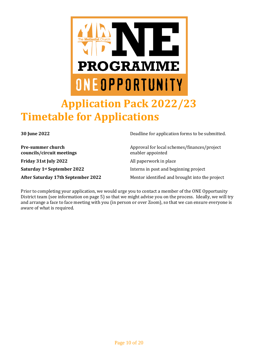

**councils/circuit meetings** enabler appointed **Friday 31st July 2022** All paperwork in place **Saturday** 1<sup>st</sup> **September 2022** Interns in post and beginning project

**30 June 2022** Deadline for application forms to be submitted.

**Pre-summer church** Approval for local schemes/finances/project

**After Saturday 17th September 2022** Mentor identified and brought into the project

Prior to completing your application, we would urge you to contact a member of the ONE Opportunity District team (see information on page 5) so that we might advise you on the process. Ideally, we will try and arrange a face to face meeting with you (in person or over Zoom), so that we can ensure everyone is aware of what is required.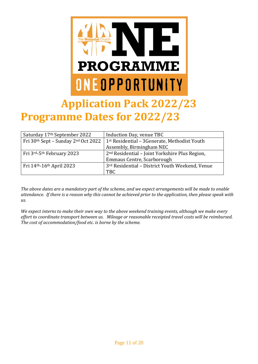

## **Application Pack 2022/23 Programme Dates for 2022/23**

| Saturday 17th September 2022        | Induction Day, venue TBC                                   |
|-------------------------------------|------------------------------------------------------------|
| Fri 30th Sept - Sunday 2nd Oct 2022 | 1st Residential - 3Generate, Methodist Youth               |
|                                     | Assembly, Birmingham NEC                                   |
| Fri 3rd-5th February 2023           | 2 <sup>nd</sup> Residential - Joint Yorkshire Plus Region, |
|                                     | Emmaus Centre, Scarborough                                 |
| Fri 14th-16th April 2023            | 3rd Residential - District Youth Weekend, Venue            |
|                                     | <b>TBC</b>                                                 |

*The above dates are a mandatory part of the scheme, and we expect arrangements will be made to enable attendance. If there is a reason why this cannot be achieved prior to the application, then please speak with us.*

*We expect interns to make their own way to the above weekend training events, although we make every effort to coordinate transport between us. Mileage or reasonable receipted travel costs will be reimbursed. The cost of accommodation/food etc. is borne by the scheme.*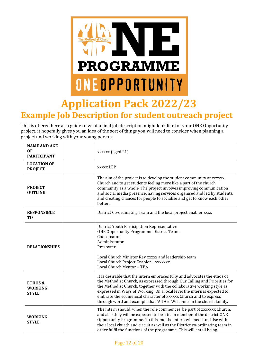

### **Application Pack 2022/23 Example Job Description for student outreach project**

This is offered here as a guide to what a final job description might look like for your ONE Opportunity project, it hopefully gives you an idea of the sort of things you will need to consider when planning a project and working with your young person.

| <b>NAME AND AGE</b><br>0F<br><b>PARTICIPANT</b>      | xxxxxx (aged 21)                                                                                                                                                                                                                                                                                                                                                                                                                                          |
|------------------------------------------------------|-----------------------------------------------------------------------------------------------------------------------------------------------------------------------------------------------------------------------------------------------------------------------------------------------------------------------------------------------------------------------------------------------------------------------------------------------------------|
| <b>LOCATION OF</b><br><b>PROJECT</b>                 | <b>XXXXX LEP</b>                                                                                                                                                                                                                                                                                                                                                                                                                                          |
| <b>PROJECT</b><br><b>OUTLINE</b>                     | The aim of the project is to develop the student community at xxxxxx<br>Church and to get students feeling more like a part of the church<br>community as a whole. The project involves improving communication<br>and social media presence, having services organised and led by students,<br>and creating chances for people to socialise and get to know each other<br>better.                                                                        |
| <b>RESPONSIBLE</b><br>T <sub>0</sub>                 | District Co-ordinating Team and the local project enabler xxxx                                                                                                                                                                                                                                                                                                                                                                                            |
| <b>RELATIONSHIPS</b>                                 | District Youth Participation Representative<br><b>ONE Opportunity Programme District Team:</b><br>Coordinator<br>Administrator<br>Presbyter<br>Local Church Minister Rev xxxxx and leadership team<br>Local Church Project Enabler - xxxxxxx<br>Local Church Mentor - TBA                                                                                                                                                                                 |
| <b>ETHOS &amp;</b><br><b>WORKING</b><br><b>STYLE</b> | It is desirable that the intern embraces fully and advocates the ethos of<br>the Methodist Church, as expressed through Our Calling and Priorities for<br>the Methodist Church, together with the collaborative working style as<br>expressed in Ways of Working. On a local level the intern is expected to<br>embrace the ecumenical character of xxxxxx Church and to express<br>through word and example that 'All Are Welcome' in the church family. |
| <b>WORKING</b><br><b>STYLE</b>                       | The intern should, when the role commences, be part of xxxxxxx Church,<br>and also they will be expected to be a team member of the district ONE<br>Opportunity Programme. To this end the intern will need to liaise with<br>their local church and circuit as well as the District co-ordinating team in<br>order fulfil the functions of the programme. This will entail being                                                                         |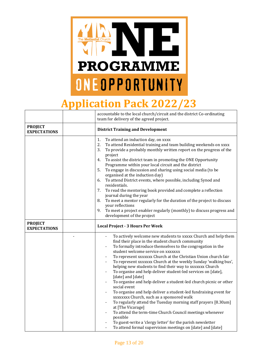

## **Application Pack 2022/23**

|                                       | accountable to the local church/circuit and the district Co-ordinating<br>team for delivery of the agreed project.                                                                                                                                                                                                                                                                                                                                                                                                                                                                                                                                                                                                                                                                                                                                                                                                                                                                                             |  |
|---------------------------------------|----------------------------------------------------------------------------------------------------------------------------------------------------------------------------------------------------------------------------------------------------------------------------------------------------------------------------------------------------------------------------------------------------------------------------------------------------------------------------------------------------------------------------------------------------------------------------------------------------------------------------------------------------------------------------------------------------------------------------------------------------------------------------------------------------------------------------------------------------------------------------------------------------------------------------------------------------------------------------------------------------------------|--|
| <b>PROJECT</b><br><b>EXPECTATIONS</b> | <b>District Training and Development</b>                                                                                                                                                                                                                                                                                                                                                                                                                                                                                                                                                                                                                                                                                                                                                                                                                                                                                                                                                                       |  |
|                                       | 1.<br>To attend an induction day, on xxxx<br>2.<br>To attend Residential training and team building weekends on xxxx<br>To provide a probably monthly written report on the progress of the<br>3.<br>project<br>To assist the district team in promoting the ONE Opportunity<br>4.<br>Programme within your local circuit and the district<br>To engage in discussion and sharing using social media (to be<br>5.<br>organised at the induction day)<br>To attend District events, where possible, including Synod and<br>6.<br>residentials.<br>To read the mentoring book provided and complete a reflection<br>7.<br>journal during the year<br>To meet a mentor regularly for the duration of the project to discuss<br>8.<br>your reflections<br>9.<br>To meet a project enabler regularly (monthly) to discuss progress and<br>development of the project                                                                                                                                                |  |
| <b>PROJECT</b><br><b>EXPECTATIONS</b> | <b>Local Project - 3 Hours Per Week</b>                                                                                                                                                                                                                                                                                                                                                                                                                                                                                                                                                                                                                                                                                                                                                                                                                                                                                                                                                                        |  |
|                                       | To actively welcome new students to xxxxx Church and help them<br>find their place in the student church community<br>To formally introduce themselves to the congregation in the<br>student welcome service on xxxxxxx<br>To represent xxxxxxx Church at the Christian Union church fair<br>To represent xxxxxxx Church at the weekly Sunday 'walking bus',<br>helping new students to find their way to xxxxxxx Church<br>To organise and help deliver student-led services on [date],<br>[date] and [date]<br>To organise and help deliver a student-led church picnic or other<br>social event<br>To organise and help deliver a student-led fundraising event for<br>xxxxxxxx Church, such as a sponsored walk<br>To regularly attend the Tuesday morning staff prayers [8.30am]<br>at [The Vicarage]<br>To attend the term-time Church Council meetings whenever<br>possible<br>To guest-write a 'clergy letter' for the parish newsletter<br>To attend formal supervision meetings on [date] and [date] |  |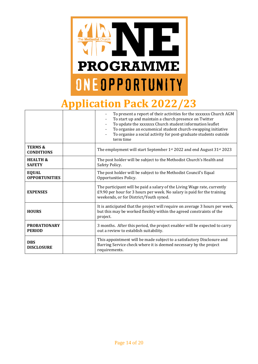

## **Application Pack 2022/23**

|                                         | To present a report of their activities for the xxxxxxx Church AGM<br>To start up and maintain a church presence on Twitter<br>To update the xxxxxxx Church student information leaflet<br>To organise an ecumenical student church-swapping initiative<br>To organise a social activity for post-graduate students outside<br>term time |
|-----------------------------------------|------------------------------------------------------------------------------------------------------------------------------------------------------------------------------------------------------------------------------------------------------------------------------------------------------------------------------------------|
| <b>TERMS &amp;</b><br><b>CONDITIONS</b> | The employment will start September 1st 2022 and end August 31st 2023                                                                                                                                                                                                                                                                    |
| <b>HEALTH &amp;</b><br><b>SAFETY</b>    | The post holder will be subject to the Methodist Church's Health and<br>Safety Policy.                                                                                                                                                                                                                                                   |
| <b>EQUAL</b><br><b>OPPORTUNITIES</b>    | The post holder will be subject to the Methodist Council's Equal<br>Opportunities Policy.                                                                                                                                                                                                                                                |
| <b>EXPENSES</b>                         | The participant will be paid a salary of the Living Wage rate, currently<br>£9.90 per hour for 3 hours per week. No salary is paid for the training<br>weekends, or for District/Youth synod.                                                                                                                                            |
| <b>HOURS</b>                            | It is anticipated that the project will require on average 3 hours per week,<br>but this may be worked flexibly within the agreed constraints of the<br>project.                                                                                                                                                                         |
| <b>PROBATIONARY</b><br><b>PERIOD</b>    | 3 months. After this period, the project enabler will be expected to carry<br>out a review to establish suitability.                                                                                                                                                                                                                     |
| <b>DBS</b><br><b>DISCLOSURE</b>         | This appointment will be made subject to a satisfactory Disclosure and<br>Barring Service check where it is deemed necessary by the project<br>requirements.                                                                                                                                                                             |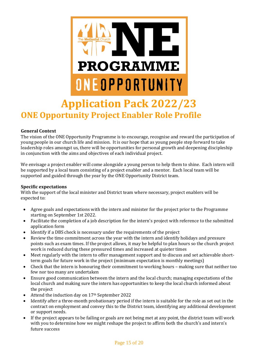

# **ONE Opportunity Project Enabler Role Profile**

#### **General Context**

The vision of the ONE Opportunity Programme is to encourage, recognise and reward the participation of young people in our church life and mission. It is our hope that as young people step forward to take leadership roles amongst us, there will be opportunities for personal growth and deepening discipleship in conjunction with the aims and objectives of each individual project.

We envisage a project enabler will come alongside a young person to help them to shine. Each intern will be supported by a local team consisting of a project enabler and a mentor. Each local team will be supported and guided through the year by the ONE Opportunity District team.

#### **Specific expectations**

With the support of the local minister and District team where necessary, project enablers will be expected to:

- Agree goals and expectations with the intern and minister for the project prior to the Programme starting on September 1st 2022.
- Facilitate the completion of a job description for the intern's project with reference to the submitted application form
- Identify if a DBS check is necessary under the requirements of the project
- Review the time commitment across the year with the intern and identify holidays and pressure points such as exam times. If the project allows, it may be helpful to plan hours so the church project work is reduced during these pressured times and increased at quieter times
- Meet regularly with the intern to offer management support and to discuss and set achievable shortterm goals for future work in the project (minimum expectation is monthly meetings)
- Check that the intern is honouring their commitment to working hours making sure that neither too few nor too many are undertaken
- Ensure good communication between the intern and the local church; managing expectations of the local church and making sure the intern has opportunities to keep the local church informed about the project
- Attend the induction day on 17<sup>th</sup> September 2022
- Identify after a three-month probationary period if the intern is suitable for the role as set out in the contract on employment and convey this to the District team, identifying any additional development or support needs.
- If the project appears to be failing or goals are not being met at any point, the district team will work with you to determine how we might reshape the project to affirm both the church's and intern's future success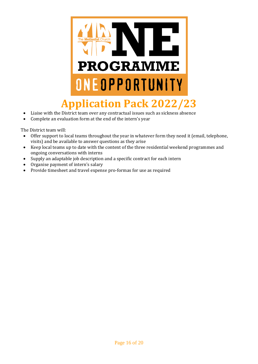

- Liaise with the District team over any contractual issues such as sickness absence
- Complete an evaluation form at the end of the intern's year

The District team will:

- Offer support to local teams throughout the year in whatever form they need it (email, telephone, visits) and be available to answer questions as they arise
- Keep local teams up to date with the content of the three residential weekend programmes and ongoing conversations with interns
- Supply an adaptable job description and a specific contract for each intern
- Organise payment of intern's salary
- Provide timesheet and travel expense pro-formas for use as required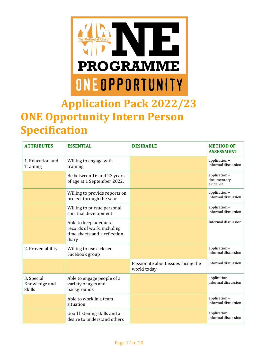

# **Application Pack 2022/23 ONE Opportunity Intern Person Specification**

| <b>ATTRIBUTES</b>                            | <b>ESSENTIAL</b>                                                                             | <b>DESIRABLE</b>                                  | <b>METHOD OF</b><br><b>ASSESSMENT</b>    |
|----------------------------------------------|----------------------------------------------------------------------------------------------|---------------------------------------------------|------------------------------------------|
| 1. Education and<br>Training                 | Willing to engage with<br>training                                                           |                                                   | application +<br>informal discussion     |
|                                              | Be between 16 and 23 years<br>of age at 1 September 2022.                                    |                                                   | application +<br>documentary<br>evidence |
|                                              | Willing to provide reports on<br>project through the year                                    |                                                   | application +<br>informal discussion     |
|                                              | Willing to pursue personal<br>spiritual development                                          |                                                   | application +<br>informal discussion     |
|                                              | Able to keep adequate<br>records of work, including<br>time sheets and a reflection<br>diary |                                                   | Informal discussion                      |
| 2. Proven ability                            | Willing to use a closed<br>Facebook group                                                    |                                                   | application +<br>informal discussion     |
|                                              |                                                                                              | Passionate about issues facing the<br>world today | informal discussion                      |
| 3. Special<br>Knowledge and<br><b>Skills</b> | Able to engage people of a<br>variety of ages and<br>backgrounds                             |                                                   | application +<br>informal discussion     |
|                                              | Able to work in a team<br>situation                                                          |                                                   | application +<br>informal discussion     |
|                                              | Good listening skills and a<br>desire to understand others                                   |                                                   | application +<br>informal discussion     |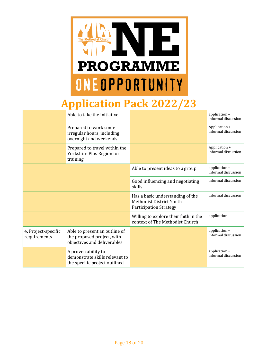

## **Application Pack 2022/23**

|                                     | Able to take the initiative                                                                |                                                                                               | application +<br>informal discussion |
|-------------------------------------|--------------------------------------------------------------------------------------------|-----------------------------------------------------------------------------------------------|--------------------------------------|
|                                     | Prepared to work some<br>irregular hours, including<br>overnight and weekends              |                                                                                               | Application +<br>informal discussion |
|                                     | Prepared to travel within the<br>Yorkshire Plus Region for<br>training                     |                                                                                               | Application +<br>informal discussion |
|                                     |                                                                                            | Able to present ideas to a group                                                              | application +<br>informal discussion |
|                                     |                                                                                            | Good influencing and negotiating<br>skills                                                    | informal discussion                  |
|                                     |                                                                                            | Has a basic understanding of the<br>Methodist District Youth<br><b>Participation Strategy</b> | informal discussion                  |
|                                     |                                                                                            | Willing to explore their faith in the<br>context of The Methodist Church                      | application                          |
| 4. Project-specific<br>requirements | Able to present an outline of<br>the proposed project, with<br>objectives and deliverables |                                                                                               | application +<br>informal discussion |
|                                     | A proven ability to<br>demonstrate skills relevant to<br>the specific project outlined     |                                                                                               | application +<br>informal discussion |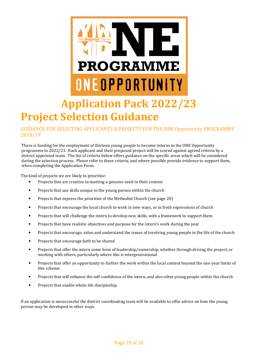

## **Application Pack 2022/23 Project Selection Guidance**

#### GUIDANCE FOR SELECTING APPLICANTS & PROJECTS FOR THE ONE Opportunity PROGRAMME 2018/19

There is funding for the employment of thirteen young people to become interns in the ONE Opportunity programme in 2022/23. Each applicant and their proposed project will be scored against agreed criteria by a district appointed team. The list of criteria below offers guidance on the specific areas which will be considered during the selection process. Please refer to these criteria, and where possible provide evidence to support them, when completing the Application Form.

The kind of projects we are likely to prioritise:

- Projects that are creative in meeting a genuine need in their context
- Projects that use skills unique to the young person within the church
- Projects that express the priorities of the Methodist Church (see page 20)
- Projects that encourage the local church to work in new ways, or in fresh expressions of church
- Projects that will challenge the intern to develop new skills, with a framework to support them
- Projects that have realistic objectives and purpose for the intern's work during the year
- Projects that encourage, value and understand the issues of involving young people in the life of the church
- Projects that encourage faith to be shared
- Projects that offer the intern some form of leadership/ownership, whether through driving the project, or working with others, particularly where this is intergenerational
- Projects that offer an opportunity to further the work within the local context beyond the one-year limits of this scheme
- Projects that will enhance the self-confidence of the intern, and also other young people within the church
- Projects that enable whole life discipleship.

If an application is unsuccessful the district coordinating team will be available to offer advice on how the young person may be developed in other ways.